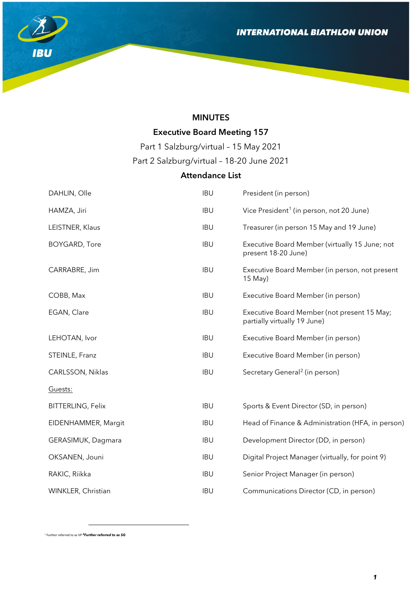

# MINUTES

# Executive Board Meeting 157

Part 1 Salzburg/virtual – 15 May 2021

Part 2 Salzburg/virtual – 18-20 June 2021

# Attendance List

| DAHLIN, Olle             | <b>IBU</b> | President (in person)                                                       |
|--------------------------|------------|-----------------------------------------------------------------------------|
| HAMZA, Jiri              | <b>IBU</b> | Vice President <sup>1</sup> (in person, not 20 June)                        |
| LEISTNER, Klaus          | <b>IBU</b> | Treasurer (in person 15 May and 19 June)                                    |
| <b>BOYGARD, Tore</b>     | <b>IBU</b> | Executive Board Member (virtually 15 June; not<br>present 18-20 June)       |
| CARRABRE, Jim            | <b>IBU</b> | Executive Board Member (in person, not present<br>$15$ May)                 |
| COBB, Max                | <b>IBU</b> | Executive Board Member (in person)                                          |
| EGAN, Clare              | <b>IBU</b> | Executive Board Member (not present 15 May;<br>partially virtually 19 June) |
| LEHOTAN, Ivor            | <b>IBU</b> | Executive Board Member (in person)                                          |
| STEINLE, Franz           | <b>IBU</b> | Executive Board Member (in person)                                          |
| CARLSSON, Niklas         | <b>IBU</b> | Secretary General <sup>2</sup> (in person)                                  |
| Guests:                  |            |                                                                             |
| <b>BITTERLING, Felix</b> | <b>IBU</b> | Sports & Event Director (SD, in person)                                     |
| EIDENHAMMER, Margit      | <b>IBU</b> | Head of Finance & Administration (HFA, in person)                           |
| GERASIMUK, Dagmara       | <b>IBU</b> | Development Director (DD, in person)                                        |
| OKSANEN, Jouni           | <b>IBU</b> | Digital Project Manager (virtually, for point 9)                            |
| RAKIC, Riikka            | <b>IBU</b> | Senior Project Manager (in person)                                          |
| WINKLER, Christian       | <b>IBU</b> | Communications Director (CD, in person)                                     |

<span id="page-0-1"></span><span id="page-0-0"></span><sup>1</sup> Further referred to as VP *2Further referred to as SG* 

l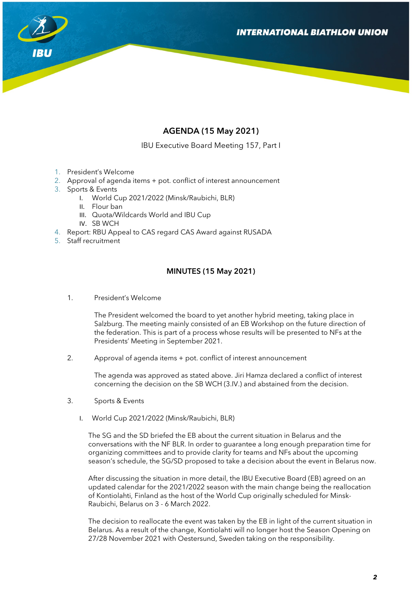

# AGENDA (15 May 2021)

IBU Executive Board Meeting 157, Part I

- 1. President's Welcome
- 2. Approval of agenda items + pot. conflict of interest announcement
- 3. Sports & Events
	- I. World Cup 2021/2022 (Minsk/Raubichi, BLR)
	- II. Flour ban
	- III. Quota/Wildcards World and IBU Cup
	- IV. SB WCH
- 4. Report: RBU Appeal to CAS regard CAS Award against RUSADA
- 5. Staff recruitment

## MINUTES (15 May 2021)

1. President's Welcome

The President welcomed the board to yet another hybrid meeting, taking place in Salzburg. The meeting mainly consisted of an EB Workshop on the future direction of the federation. This is part of a process whose results will be presented to NFs at the Presidents' Meeting in September 2021.

2. Approval of agenda items + pot. conflict of interest announcement

The agenda was approved as stated above. Jiri Hamza declared a conflict of interest concerning the decision on the SB WCH (3.IV.) and abstained from the decision.

- 3. Sports & Events
	- I. World Cup 2021/2022 (Minsk/Raubichi, BLR)

The SG and the SD briefed the EB about the current situation in Belarus and the conversations with the NF BLR. In order to guarantee a long enough preparation time for organizing committees and to provide clarity for teams and NFs about the upcoming season's schedule, the SG/SD proposed to take a decision about the event in Belarus now.

After discussing the situation in more detail, the IBU Executive Board (EB) agreed on an updated calendar for the 2021/2022 season with the main change being the reallocation of Kontiolahti, Finland as the host of the World Cup originally scheduled for Minsk-Raubichi, Belarus on 3 - 6 March 2022.

The decision to reallocate the event was taken by the EB in light of the current situation in Belarus. As a result of the change, Kontiolahti will no longer host the Season Opening on 27/28 November 2021 with Oestersund, Sweden taking on the responsibility.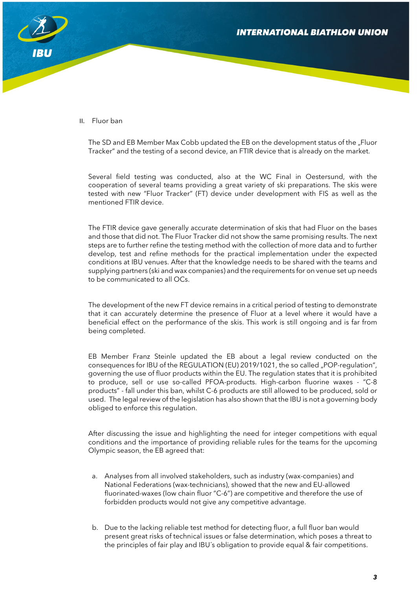

II. Fluor ban

The SD and EB Member Max Cobb updated the EB on the development status of the "Fluor Tracker" and the testing of a second device, an FTIR device that is already on the market.

Several field testing was conducted, also at the WC Final in Oestersund, with the cooperation of several teams providing a great variety of ski preparations. The skis were tested with new "Fluor Tracker" (FT) device under development with FIS as well as the mentioned FTIR device.

The FTIR device gave generally accurate determination of skis that had Fluor on the bases and those that did not. The Fluor Tracker did not show the same promising results. The next steps are to further refine the testing method with the collection of more data and to further develop, test and refine methods for the practical implementation under the expected conditions at IBU venues. After that the knowledge needs to be shared with the teams and supplying partners (ski and wax companies) and the requirements for on venue set up needs to be communicated to all OCs.

The development of the new FT device remains in a critical period of testing to demonstrate that it can accurately determine the presence of Fluor at a level where it would have a beneficial effect on the performance of the skis. This work is still ongoing and is far from being completed.

EB Member Franz Steinle updated the EB about a legal review conducted on the consequences for IBU of the REGULATION (EU) 2019/1021, the so called "POP-regulation", governing the use of fluor products within the EU. The regulation states that it is prohibited to produce, sell or use so-called PFOA-products. High-carbon fluorine waxes - "C-8 products" - fall under this ban, whilst C-6 products are still allowed to be produced, sold or used. The legal review of the legislation has also shown that the IBU is not a governing body obliged to enforce this regulation.

After discussing the issue and highlighting the need for integer competitions with equal conditions and the importance of providing reliable rules for the teams for the upcoming Olympic season, the EB agreed that:

- a. Analyses from all involved stakeholders, such as industry (wax-companies) and National Federations (wax-technicians), showed that the new and EU-allowed fluorinated-waxes (low chain fluor "C-6") are competitive and therefore the use of forbidden products would not give any competitive advantage.
- b. Due to the lacking reliable test method for detecting fluor, a full fluor ban would present great risks of technical issues or false determination, which poses a threat to the principles of fair play and IBU´s obligation to provide equal & fair competitions.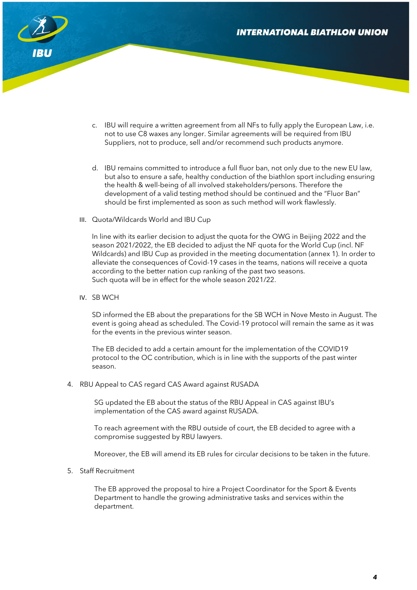

- c. IBU will require a written agreement from all NFs to fully apply the European Law, i.e. not to use C8 waxes any longer. Similar agreements will be required from IBU Suppliers, not to produce, sell and/or recommend such products anymore.
- d. IBU remains committed to introduce a full fluor ban, not only due to the new EU law, but also to ensure a safe, healthy conduction of the biathlon sport including ensuring the health & well-being of all involved stakeholders/persons. Therefore the development of a valid testing method should be continued and the "Fluor Ban" should be first implemented as soon as such method will work flawlessly.
- III. Quota/Wildcards World and IBU Cup

In line with its earlier decision to adjust the quota for the OWG in Beijing 2022 and the season 2021/2022, the EB decided to adjust the NF quota for the World Cup (incl. NF Wildcards) and IBU Cup as provided in the meeting documentation (annex 1). In order to alleviate the consequences of Covid-19 cases in the teams, nations will receive a quota according to the better nation cup ranking of the past two seasons. Such quota will be in effect for the whole season 2021/22.

IV. SB WCH

SD informed the EB about the preparations for the SB WCH in Nove Mesto in August. The event is going ahead as scheduled. The Covid-19 protocol will remain the same as it was for the events in the previous winter season.

The EB decided to add a certain amount for the implementation of the COVID19 protocol to the OC contribution, which is in line with the supports of the past winter season.

4. RBU Appeal to CAS regard CAS Award against RUSADA

SG updated the EB about the status of the RBU Appeal in CAS against IBU's implementation of the CAS award against RUSADA.

To reach agreement with the RBU outside of court, the EB decided to agree with a compromise suggested by RBU lawyers.

Moreover, the EB will amend its EB rules for circular decisions to be taken in the future.

5. Staff Recruitment

The EB approved the proposal to hire a Project Coordinator for the Sport & Events Department to handle the growing administrative tasks and services within the department.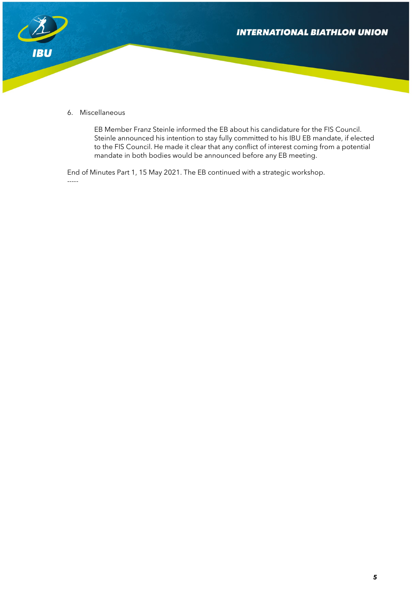



6. Miscellaneous

EB Member Franz Steinle informed the EB about his candidature for the FIS Council. Steinle announced his intention to stay fully committed to his IBU EB mandate, if elected to the FIS Council. He made it clear that any conflict of interest coming from a potential mandate in both bodies would be announced before any EB meeting.

End of Minutes Part 1, 15 May 2021. The EB continued with a strategic workshop. -----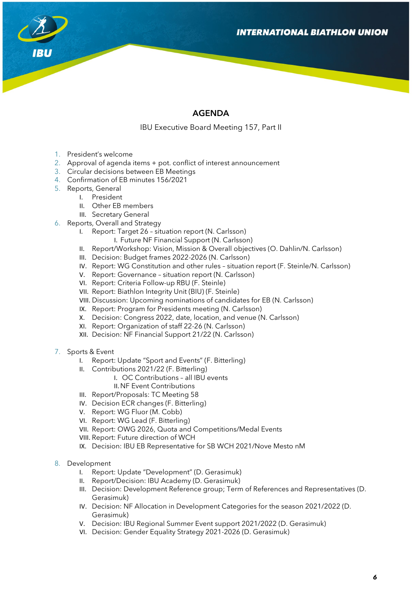

# AGENDA

IBU Executive Board Meeting 157, Part II

- 1. President's welcome
- 2. Approval of agenda items + pot. conflict of interest announcement
- 3. Circular decisions between EB Meetings
- 4. Confirmation of EB minutes 156/2021
- 5. Reports, General
	- I. President
	- II. Other EB members
	- III. Secretary General
- 6. Reports, Overall and Strategy
	- I. Report: Target 26 situation report (N. Carlsson)
		- I. Future NF Financial Support (N. Carlsson)
	- II. Report/Workshop: Vision, Mission & Overall objectives (O. Dahlin/N. Carlsson)
	- III. Decision: Budget frames 2022-2026 (N. Carlsson)
	- IV. Report: WG Constitution and other rules situation report (F. Steinle/N. Carlsson)
	- V. Report: Governance situation report (N. Carlsson)
	- VI. Report: Criteria Follow-up RBU (F. Steinle)
	- VII. Report: Biathlon Integrity Unit (BIU) (F. Steinle)
	- VIII. Discussion: Upcoming nominations of candidates for EB (N. Carlsson)
	- IX. Report: Program for Presidents meeting (N. Carlsson)
	- X. Decision: Congress 2022, date, location, and venue (N. Carlsson)
	- XI. Report: Organization of staff 22-26 (N. Carlsson)
	- XII. Decision: NF Financial Support 21/22 (N. Carlsson)
- 7. Sports & Event
	- I. Report: Update "Sport and Events" (F. Bitterling)
	- II. Contributions 2021/22 (F. Bitterling)
		- I. OC Contributions all IBU events
		- II.NF Event Contributions
	- III. Report/Proposals: TC Meeting 58
	- IV. Decision ECR changes (F. Bitterling)
	- V. Report: WG Fluor (M. Cobb)
	- VI. Report: WG Lead (F. Bitterling)
	- VII. Report: OWG 2026, Quota and Competitions/Medal Events
	- VIII. Report: Future direction of WCH
	- IX. Decision: IBU EB Representative for SB WCH 2021/Nove Mesto nM
- 8. Development
	- I. Report: Update "Development" (D. Gerasimuk)
	- II. Report/Decision: IBU Academy (D. Gerasimuk)
	- III. Decision: Development Reference group; Term of References and Representatives (D. Gerasimuk)
	- IV. Decision: NF Allocation in Development Categories for the season 2021/2022 (D. Gerasimuk)
	- V. Decision: IBU Regional Summer Event support 2021/2022 (D. Gerasimuk)
	- VI. Decision: Gender Equality Strategy 2021-2026 (D. Gerasimuk)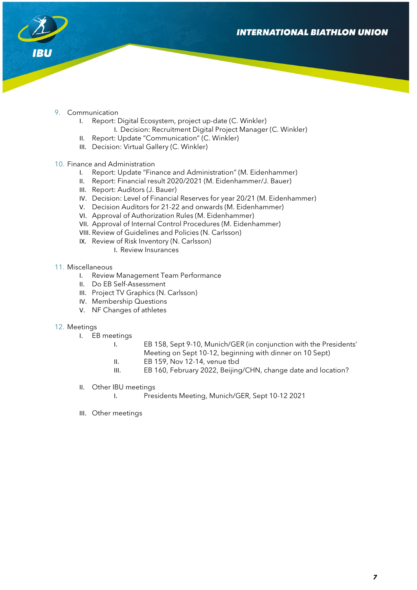

- 9. Communication
	- I. Report: Digital Ecosystem, project up-date (C. Winkler) I. Decision: Recruitment Digital Project Manager (C. Winkler)
	- II. Report: Update "Communication" (C. Winkler)
	- III. Decision: Virtual Gallery (C. Winkler)
- 10. Finance and Administration
	- I. Report: Update "Finance and Administration" (M. Eidenhammer)
	- II. Report: Financial result 2020/2021 (M. Eidenhammer/J. Bauer)
	- III. Report: Auditors (J. Bauer)
	- IV. Decision: Level of Financial Reserves for year 20/21 (M. Eidenhammer)
	- V. Decision Auditors for 21-22 and onwards (M. Eidenhammer)
	- VI. Approval of Authorization Rules (M. Eidenhammer)
	- VII. Approval of Internal Control Procedures (M. Eidenhammer)
	- VIII. Review of Guidelines and Policies (N. Carlsson)
	- IX. Review of Risk Inventory (N. Carlsson)
		- I. Review Insurances
- 11. Miscellaneous
	- I. Review Management Team Performance
	- II. Do EB Self-Assessment
	- III. Project TV Graphics (N. Carlsson)
	- IV. Membership Questions
	- V. NF Changes of athletes
- 12. Meetings
	- I. EB meetings
		- I. EB 158, Sept 9-10, Munich/GER (in conjunction with the Presidents' Meeting on Sept 10-12, beginning with dinner on 10 Sept)
		- II. EB 159, Nov 12-14, venue tbd
		- III. EB 160, February 2022, Beijing/CHN, change date and location?
	- II. Other IBU meetings
		- I. Presidents Meeting, Munich/GER, Sept 10-12 2021
	- III. Other meetings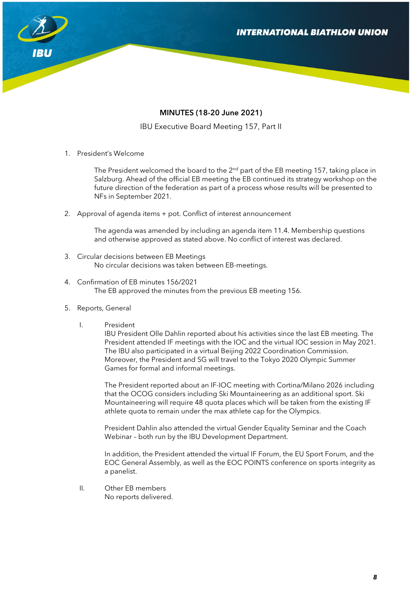

# MINUTES (18-20 June 2021)

IBU Executive Board Meeting 157, Part II

1. President's Welcome

The President welcomed the board to the  $2<sup>nd</sup>$  part of the EB meeting 157, taking place in Salzburg. Ahead of the official EB meeting the EB continued its strategy workshop on the future direction of the federation as part of a process whose results will be presented to NFs in September 2021.

2. Approval of agenda items + pot. Conflict of interest announcement

The agenda was amended by including an agenda item 11.4. Membership questions and otherwise approved as stated above. No conflict of interest was declared.

- 3. Circular decisions between EB Meetings No circular decisions was taken between EB-meetings.
- 4. Confirmation of EB minutes 156/2021 The EB approved the minutes from the previous EB meeting 156.
- 5. Reports, General
	- I. President

IBU President Olle Dahlin reported about his activities since the last EB meeting. The President attended IF meetings with the IOC and the virtual IOC session in May 2021. The IBU also participated in a virtual Beijing 2022 Coordination Commission. Moreover, the President and SG will travel to the Tokyo 2020 Olympic Summer Games for formal and informal meetings.

The President reported about an IF-IOC meeting with Cortina/Milano 2026 including that the OCOG considers including Ski Mountaineering as an additional sport. Ski Mountaineering will require 48 quota places which will be taken from the existing IF athlete quota to remain under the max athlete cap for the Olympics.

President Dahlin also attended the virtual Gender Equality Seminar and the Coach Webinar – both run by the IBU Development Department.

In addition, the President attended the virtual IF Forum, the EU Sport Forum, and the EOC General Assembly, as well as the EOC POINTS conference on sports integrity as a panelist.

II. Other EB members No reports delivered.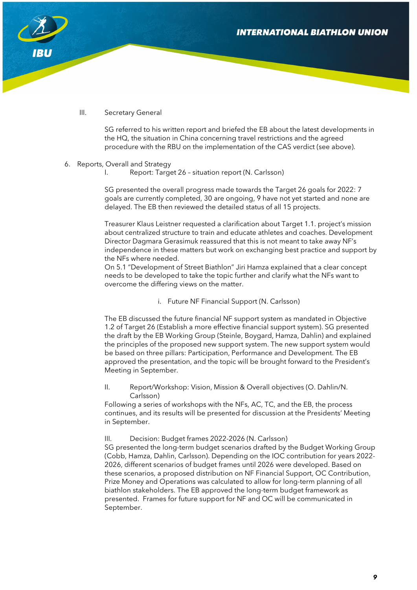

## III. Secretary General

SG referred to his written report and briefed the EB about the latest developments in the HQ, the situation in China concerning travel restrictions and the agreed procedure with the RBU on the implementation of the CAS verdict (see above).

### 6. Reports, Overall and Strategy

I. Report: Target 26 – situation report (N. Carlsson)

SG presented the overall progress made towards the Target 26 goals for 2022: 7 goals are currently completed, 30 are ongoing, 9 have not yet started and none are delayed. The EB then reviewed the detailed status of all 15 projects.

Treasurer Klaus Leistner requested a clarification about Target 1.1. project's mission about centralized structure to train and educate athletes and coaches. Development Director Dagmara Gerasimuk reassured that this is not meant to take away NF's independence in these matters but work on exchanging best practice and support by the NFs where needed.

On 5.1 "Development of Street Biathlon" Jiri Hamza explained that a clear concept needs to be developed to take the topic further and clarify what the NFs want to overcome the differing views on the matter.

### i. Future NF Financial Support (N. Carlsson)

The EB discussed the future financial NF support system as mandated in Objective 1.2 of Target 26 (Establish a more effective financial support system). SG presented the draft by the EB Working Group (Steinle, Boygard, Hamza, Dahlin) and explained the principles of the proposed new support system. The new support system would be based on three pillars: Participation, Performance and Development. The EB approved the presentation, and the topic will be brought forward to the President's Meeting in September.

II. Report/Workshop: Vision, Mission & Overall objectives (O. Dahlin/N. Carlsson)

Following a series of workshops with the NFs, AC, TC, and the EB, the process continues, and its results will be presented for discussion at the Presidents' Meeting in September.

III. Decision: Budget frames 2022-2026 (N. Carlsson)

SG presented the long-term budget scenarios drafted by the Budget Working Group (Cobb, Hamza, Dahlin, Carlsson). Depending on the IOC contribution for years 2022- 2026, different scenarios of budget frames until 2026 were developed. Based on these scenarios, a proposed distribution on NF Financial Support, OC Contribution, Prize Money and Operations was calculated to allow for long-term planning of all biathlon stakeholders. The EB approved the long-term budget framework as presented. Frames for future support for NF and OC will be communicated in September.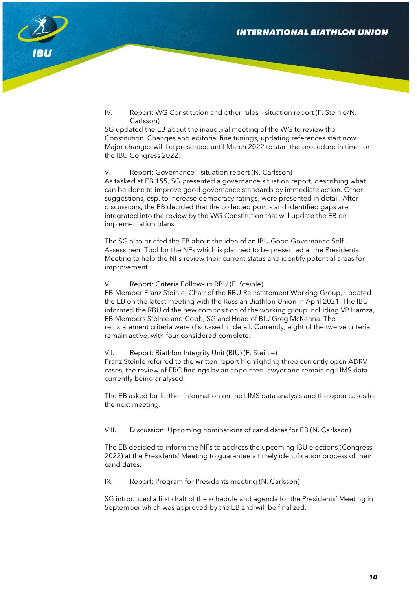

IV. Report: WG Constitution and other rules – situation report (F. Steinle/N. Carlsson)

SG updated the EB about the inaugural meeting of the WG to review the Constitution. Changes and editorial fine tunings, updating references start now. Major changes will be presented until March 2022 to start the procedure in time for the IBU Congress 2022.

### V. Report: Governance – situation report (N. Carlsson)

As tasked at EB 155, SG presented a governance situation report, describing what can be done to improve good governance standards by immediate action. Other suggestions, esp. to increase democracy ratings, were presented in detail. After discussions, the EB decided that the collected points and identified gaps are integrated into the review by the WG Constitution that will update the EB on implementation plans.

The SG also briefed the EB about the idea of an IBU Good Governance Self-Assessment Tool for the NFs which is planned to be presented at the Presidents Meeting to help the NFs review their current status and identify potential areas for improvement.

VI. Report: Criteria Follow-up RBU (F. Steinle)

EB Member Franz Steinle, Chair of the RBU Reinstatement Working Group, updated the EB on the latest meeting with the Russian Biathlon Union in April 2021. The IBU informed the RBU of the new composition of the working group including VP Hamza, EB Members Steinle and Cobb, SG and Head of BIU Greg McKenna. The reinstatement criteria were discussed in detail. Currently, eight of the twelve criteria remain active, with four considered complete.

VII. Report: Biathlon Integrity Unit (BIU) (F. Steinle)

Franz Steinle referred to the written report highlighting three currently open ADRV cases, the review of ERC findings by an appointed lawyer and remaining LIMS data currently being analysed.

The EB asked for further information on the LIMS data analysis and the open cases for the next meeting.

### VIII. Discussion: Upcoming nominations of candidates for EB (N. Carlsson)

The EB decided to inform the NFs to address the upcoming IBU elections (Congress 2022) at the Presidents' Meeting to guarantee a timely identification process of their candidates.

IX. Report: Program for Presidents meeting (N. Carlsson)

SG introduced a first draft of the schedule and agenda for the Presidents' Meeting in September which was approved by the EB and will be finalized.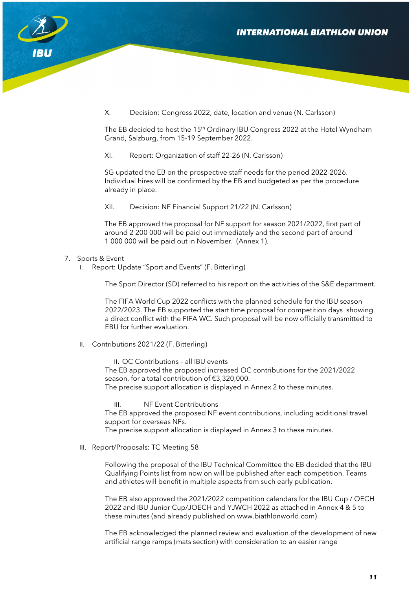

X. Decision: Congress 2022, date, location and venue (N. Carlsson)

The EB decided to host the 15th Ordinary IBU Congress 2022 at the Hotel Wyndham Grand, Salzburg, from 15-19 September 2022.

XI. Report: Organization of staff 22-26 (N. Carlsson)

SG updated the EB on the prospective staff needs for the period 2022-2026. Individual hires will be confirmed by the EB and budgeted as per the procedure already in place.

XII. Decision: NF Financial Support 21/22 (N. Carlsson)

The EB approved the proposal for NF support for season 2021/2022, first part of around 2 200 000 will be paid out immediately and the second part of around 1 000 000 will be paid out in November. (Annex 1).

### 7. Sports & Event

I. Report: Update "Sport and Events" (F. Bitterling)

The Sport Director (SD) referred to his report on the activities of the S&E department.

The FIFA World Cup 2022 conflicts with the planned schedule for the IBU season 2022/2023. The EB supported the start time proposal for competition days showing a direct conflict with the FIFA WC. Such proposal will be now officially transmitted to EBU for further evaluation.

II. Contributions 2021/22 (F. Bitterling)

II. OC Contributions – all IBU events The EB approved the proposed increased OC contributions for the 2021/2022 season, for a total contribution of €3,320,000. The precise support allocation is displayed in Annex 2 to these minutes.

III. NF Event Contributions

The EB approved the proposed NF event contributions, including additional travel support for overseas NFs.

The precise support allocation is displayed in Annex 3 to these minutes.

III. Report/Proposals: TC Meeting 58

Following the proposal of the IBU Technical Committee the EB decided that the IBU Qualifying Points list from now on will be published after each competition. Teams and athletes will benefit in multiple aspects from such early publication.

The EB also approved the 2021/2022 competition calendars for the IBU Cup / OECH 2022 and IBU Junior Cup/JOECH and YJWCH 2022 as attached in Annex 4 & 5 to these minutes (and already published on www.biathlonworld.com)

The EB acknowledged the planned review and evaluation of the development of new artificial range ramps (mats section) with consideration to an easier range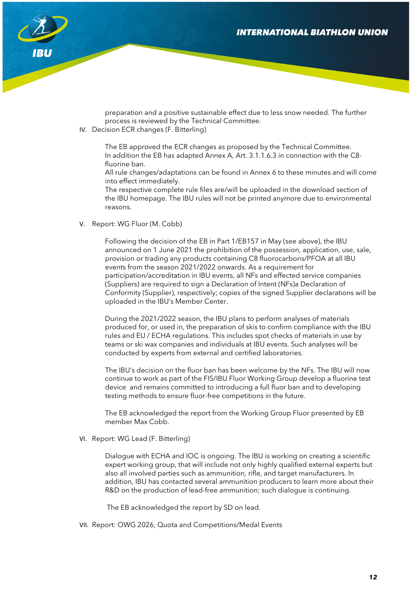

preparation and a positive sustainable effect due to less snow needed. The further process is reviewed by the Technical Committee.

IV. Decision ECR changes (F. Bitterling)

The EB approved the ECR changes as proposed by the Technical Committee. In addition the EB has adapted Annex A, Art. 3.1.1.6.3 in connection with the C8 fluorine ban.

All rule changes/adaptations can be found in Annex 6 to these minutes and will come into effect immediately.

The respective complete rule files are/will be uploaded in the download section of the IBU homepage. The IBU rules will not be printed anymore due to environmental reasons.

V. Report: WG Fluor (M. Cobb)

Following the decision of the EB in Part 1/EB157 in May (see above), the IBU announced on 1 June 2021 the prohibition of the possession, application, use, sale, provision or trading any products containing C8 fluorocarbons/PFOA at all IBU events from the season 2021/2022 onwards. As a requirement for participation/accreditation in IBU events, all NFs and effected service companies (Suppliers) are required to sign a Declaration of Intent (NFs)a Declaration of Conformity (Supplier), respectively; copies of the signed Supplier declarations will be uploaded in the IBU's Member Center.

During the 2021/2022 season, the IBU plans to perform analyses of materials produced for, or used in, the preparation of skis to confirm compliance with the IBU rules and EU / ECHA regulations. This includes spot checks of materials in use by teams or ski wax companies and individuals at IBU events. Such analyses will be conducted by experts from external and certified laboratories.

The IBU's decision on the fluor ban has been welcome by the NFs. The IBU will now continue to work as part of the FIS/IBU Fluor Working Group develop a fluorine test device and remains committed to introducing a full fluor ban and to developing testing methods to ensure fluor-free competitions in the future.

The EB acknowledged the report from the Working Group Fluor presented by EB member Max Cobb.

VI. Report: WG Lead (F. Bitterling)

Dialogue with ECHA and IOC is ongoing. The IBU is working on creating a scientific expert working group, that will include not only highly qualified external experts but also all involved parties such as ammunition, rifle, and target manufacturers. In addition, IBU has contacted several ammunition producers to learn more about their R&D on the production of lead-free ammunition; such dialogue is continuing.

The EB acknowledged the report by SD on lead.

VII. Report: OWG 2026, Quota and Competitions/Medal Events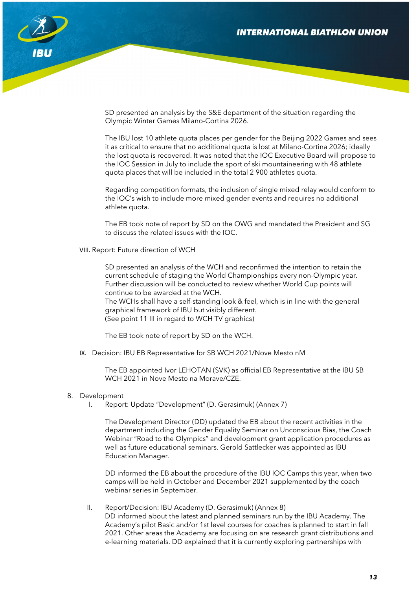

SD presented an analysis by the S&E department of the situation regarding the Olympic Winter Games Milano-Cortina 2026.

The IBU lost 10 athlete quota places per gender for the Beijing 2022 Games and sees it as critical to ensure that no additional quota is lost at Milano-Cortina 2026; ideally the lost quota is recovered. It was noted that the IOC Executive Board will propose to the IOC Session in July to include the sport of ski mountaineering with 48 athlete quota places that will be included in the total 2 900 athletes quota.

Regarding competition formats, the inclusion of single mixed relay would conform to the IOC's wish to include more mixed gender events and requires no additional athlete quota.

The EB took note of report by SD on the OWG and mandated the President and SG to discuss the related issues with the IOC.

VIII. Report: Future direction of WCH

SD presented an analysis of the WCH and reconfirmed the intention to retain the current schedule of staging the World Championships every non-Olympic year. Further discussion will be conducted to review whether World Cup points will continue to be awarded at the WCH. The WCHs shall have a self-standing look & feel, which is in line with the general graphical framework of IBU but visibly different. (See point 11 III in regard to WCH TV graphics)

The EB took note of report by SD on the WCH.

IX. Decision: IBU EB Representative for SB WCH 2021/Nove Mesto nM

The EB appointed Ivor LEHOTAN (SVK) as official EB Representative at the IBU SB WCH 2021 in Nove Mesto na Morave/CZE.

- 8. Development
	- I. Report: Update "Development" (D. Gerasimuk) (Annex 7)

The Development Director (DD) updated the EB about the recent activities in the department including the Gender Equality Seminar on Unconscious Bias, the Coach Webinar "Road to the Olympics" and development grant application procedures as well as future educational seminars. Gerold Sattlecker was appointed as IBU Education Manager.

DD informed the EB about the procedure of the IBU IOC Camps this year, when two camps will be held in October and December 2021 supplemented by the coach webinar series in September.

II. Report/Decision: IBU Academy (D. Gerasimuk) (Annex 8) DD informed about the latest and planned seminars run by the IBU Academy. The Academy's pilot Basic and/or 1st level courses for coaches is planned to start in fall 2021. Other areas the Academy are focusing on are research grant distributions and e-learning materials. DD explained that it is currently exploring partnerships with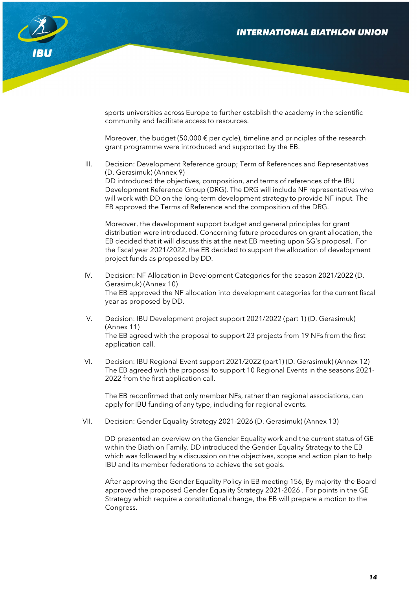

sports universities across Europe to further establish the academy in the scientific community and facilitate access to resources.

Moreover, the budget (50,000  $\epsilon$  per cycle), timeline and principles of the research grant programme were introduced and supported by the EB.

III. Decision: Development Reference group; Term of References and Representatives (D. Gerasimuk) (Annex 9) DD introduced the objectives, composition, and terms of references of the IBU Development Reference Group (DRG). The DRG will include NF representatives who will work with DD on the long-term development strategy to provide NF input. The EB approved the Terms of Reference and the composition of the DRG.

Moreover, the development support budget and general principles for grant distribution were introduced. Concerning future procedures on grant allocation, the EB decided that it will discuss this at the next EB meeting upon SG's proposal. For the fiscal year 2021/2022, the EB decided to support the allocation of development project funds as proposed by DD.

- IV. Decision: NF Allocation in Development Categories for the season 2021/2022 (D. Gerasimuk) (Annex 10) The EB approved the NF allocation into development categories for the current fiscal year as proposed by DD.
- V. Decision: IBU Development project support 2021/2022 (part 1) (D. Gerasimuk) (Annex 11) The EB agreed with the proposal to support 23 projects from 19 NFs from the first application call.
- VI. Decision: IBU Regional Event support 2021/2022 (part1) (D. Gerasimuk) (Annex 12) The EB agreed with the proposal to support 10 Regional Events in the seasons 2021- 2022 from the first application call.

The EB reconfirmed that only member NFs, rather than regional associations, can apply for IBU funding of any type, including for regional events.

VII. Decision: Gender Equality Strategy 2021-2026 (D. Gerasimuk) (Annex 13)

DD presented an overview on the Gender Equality work and the current status of GE within the Biathlon Family. DD introduced the Gender Equality Strategy to the EB which was followed by a discussion on the objectives, scope and action plan to help IBU and its member federations to achieve the set goals.

After approving the Gender Equality Policy in EB meeting 156, By majority the Board approved the proposed Gender Equality Strategy 2021-2026 . For points in the GE Strategy which require a constitutional change, the EB will prepare a motion to the Congress.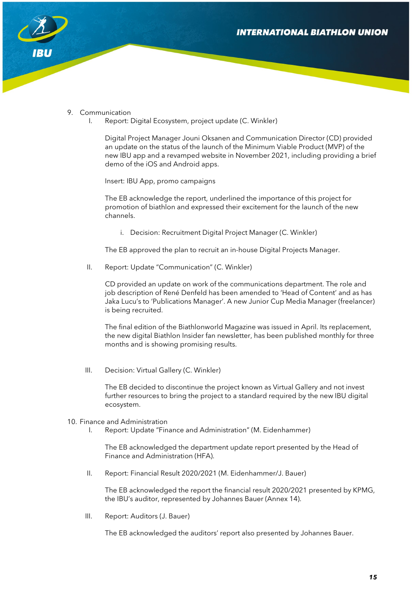

### 9. Communication

I. Report: Digital Ecosystem, project update (C. Winkler)

Digital Project Manager Jouni Oksanen and Communication Director (CD) provided an update on the status of the launch of the Minimum Viable Product (MVP) of the new IBU app and a revamped website in November 2021, including providing a brief demo of the iOS and Android apps.

Insert: IBU App, promo campaigns

The EB acknowledge the report, underlined the importance of this project for promotion of biathlon and expressed their excitement for the launch of the new channels.

i. Decision: Recruitment Digital Project Manager (C. Winkler)

The EB approved the plan to recruit an in-house Digital Projects Manager.

II. Report: Update "Communication" (C. Winkler)

CD provided an update on work of the communications department. The role and job description of René Denfeld has been amended to 'Head of Content' and as has Jaka Lucu's to 'Publications Manager'. A new Junior Cup Media Manager (freelancer) is being recruited.

The final edition of the Biathlonworld Magazine was issued in April. Its replacement, the new digital Biathlon Insider fan newsletter, has been published monthly for three months and is showing promising results.

III. Decision: Virtual Gallery (C. Winkler)

The EB decided to discontinue the project known as Virtual Gallery and not invest further resources to bring the project to a standard required by the new IBU digital ecosystem.

#### 10. Finance and Administration

I. Report: Update "Finance and Administration" (M. Eidenhammer)

The EB acknowledged the department update report presented by the Head of Finance and Administration (HFA).

II. Report: Financial Result 2020/2021 (M. Eidenhammer/J. Bauer)

The EB acknowledged the report the financial result 2020/2021 presented by KPMG, the IBU's auditor, represented by Johannes Bauer (Annex 14).

III. Report: Auditors (J. Bauer)

The EB acknowledged the auditors' report also presented by Johannes Bauer.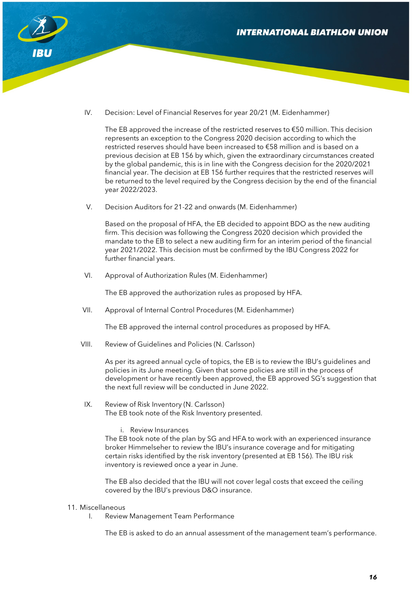

IV. Decision: Level of Financial Reserves for year 20/21 (M. Eidenhammer)

The EB approved the increase of the restricted reserves to  $\epsilon$ 50 million. This decision represents an exception to the Congress 2020 decision according to which the restricted reserves should have been increased to €58 million and is based on a previous decision at EB 156 by which, given the extraordinary circumstances created by the global pandemic, this is in line with the Congress decision for the 2020/2021 financial year. The decision at EB 156 further requires that the restricted reserves will be returned to the level required by the Congress decision by the end of the financial year 2022/2023.

V. Decision Auditors for 21-22 and onwards (M. Eidenhammer)

Based on the proposal of HFA, the EB decided to appoint BDO as the new auditing firm. This decision was following the Congress 2020 decision which provided the mandate to the EB to select a new auditing firm for an interim period of the financial year 2021/2022. This decision must be confirmed by the IBU Congress 2022 for further financial years.

VI. Approval of Authorization Rules (M. Eidenhammer)

The EB approved the authorization rules as proposed by HFA.

VII. Approval of Internal Control Procedures (M. Eidenhammer)

The EB approved the internal control procedures as proposed by HFA.

VIII. Review of Guidelines and Policies (N. Carlsson)

As per its agreed annual cycle of topics, the EB is to review the IBU's guidelines and policies in its June meeting. Given that some policies are still in the process of development or have recently been approved, the EB approved SG's suggestion that the next full review will be conducted in June 2022.

- IX. Review of Risk Inventory (N. Carlsson) The EB took note of the Risk Inventory presented.
	- i. Review Insurances

The EB took note of the plan by SG and HFA to work with an experienced insurance broker Himmelseher to review the IBU's insurance coverage and for mitigating certain risks identified by the risk inventory (presented at EB 156). The IBU risk inventory is reviewed once a year in June.

The EB also decided that the IBU will not cover legal costs that exceed the ceiling covered by the IBU's previous D&O insurance.

## 11. Miscellaneous

I. Review Management Team Performance

The EB is asked to do an annual assessment of the management team's performance.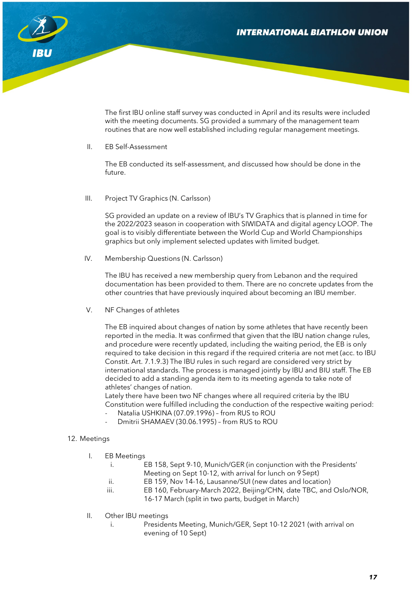

The first IBU online staff survey was conducted in April and its results were included with the meeting documents. SG provided a summary of the management team routines that are now well established including regular management meetings.

II. EB Self-Assessment

The EB conducted its self-assessment, and discussed how should be done in the future.

III. Project TV Graphics (N. Carlsson)

SG provided an update on a review of IBU's TV Graphics that is planned in time for the 2022/2023 season in cooperation with SIWIDATA and digital agency LOOP. The goal is to visibly differentiate between the World Cup and World Championships graphics but only implement selected updates with limited budget.

IV. Membership Questions (N. Carlsson)

The IBU has received a new membership query from Lebanon and the required documentation has been provided to them. There are no concrete updates from the other countries that have previously inquired about becoming an IBU member.

V. NF Changes of athletes

The EB inquired about changes of nation by some athletes that have recently been reported in the media. It was confirmed that given that the IBU nation change rules, and procedure were recently updated, including the waiting period, the EB is only required to take decision in this regard if the required criteria are not met (acc. to IBU Constit. Art. 7.1.9.3) The IBU rules in such regard are considered very strict by international standards. The process is managed jointly by IBU and BIU staff. The EB decided to add a standing agenda item to its meeting agenda to take note of athletes' changes of nation.

Lately there have been two NF changes where all required criteria by the IBU Constitution were fulfilled including the conduction of the respective waiting period:

- Natalia USHKINA (07.09.1996) from RUS to ROU
- Dmitrii SHAMAEV (30.06.1995) from RUS to ROU

### 12. Meetings

|  | <b>EB Meetings</b> |
|--|--------------------|
|--|--------------------|

|               | EB 158, Sept 9-10, Munich/GER (in conjunction with the Presidents' |
|---------------|--------------------------------------------------------------------|
|               | Meeting on Sept 10-12, with arrival for lunch on 9 Sept)           |
| $\cdot \cdot$ | EB 159, Nov 14-16, Lausanne/SUI (new dates and location)           |

- iii. EB 160, February-March 2022, Beijing/CHN, date TBC, and Oslo/NOR, 16-17 March (split in two parts, budget in March)
- II. Other IBU meetings
	- i. Presidents Meeting, Munich/GER, Sept 10-12 2021 (with arrival on evening of 10 Sept)